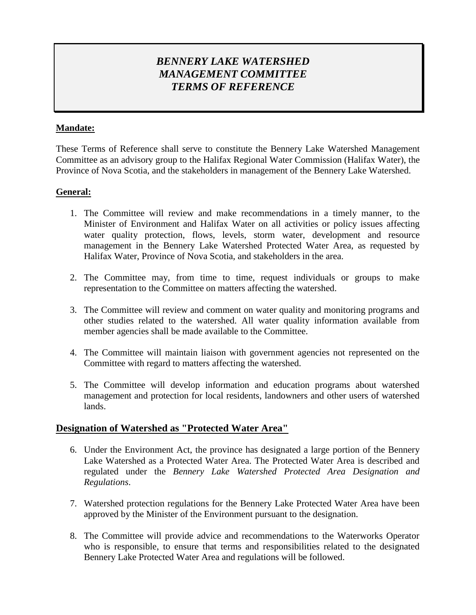# *BENNERY LAKE WATERSHED MANAGEMENT COMMITTEE TERMS OF REFERENCE*

## **Mandate:**

These Terms of Reference shall serve to constitute the Bennery Lake Watershed Management Committee as an advisory group to the Halifax Regional Water Commission (Halifax Water), the Province of Nova Scotia, and the stakeholders in management of the Bennery Lake Watershed.

### **General:**

- 1. The Committee will review and make recommendations in a timely manner, to the Minister of Environment and Halifax Water on all activities or policy issues affecting water quality protection, flows, levels, storm water, development and resource management in the Bennery Lake Watershed Protected Water Area, as requested by Halifax Water, Province of Nova Scotia, and stakeholders in the area.
- 2. The Committee may, from time to time, request individuals or groups to make representation to the Committee on matters affecting the watershed.
- 3. The Committee will review and comment on water quality and monitoring programs and other studies related to the watershed. All water quality information available from member agencies shall be made available to the Committee.
- 4. The Committee will maintain liaison with government agencies not represented on the Committee with regard to matters affecting the watershed.
- 5. The Committee will develop information and education programs about watershed management and protection for local residents, landowners and other users of watershed lands.

## **Designation of Watershed as "Protected Water Area"**

- 6. Under the Environment Act, the province has designated a large portion of the Bennery Lake Watershed as a Protected Water Area. The Protected Water Area is described and regulated under the *Bennery Lake Watershed Protected Area Designation and Regulations*.
- 7. Watershed protection regulations for the Bennery Lake Protected Water Area have been approved by the Minister of the Environment pursuant to the designation.
- 8. The Committee will provide advice and recommendations to the Waterworks Operator who is responsible, to ensure that terms and responsibilities related to the designated Bennery Lake Protected Water Area and regulations will be followed.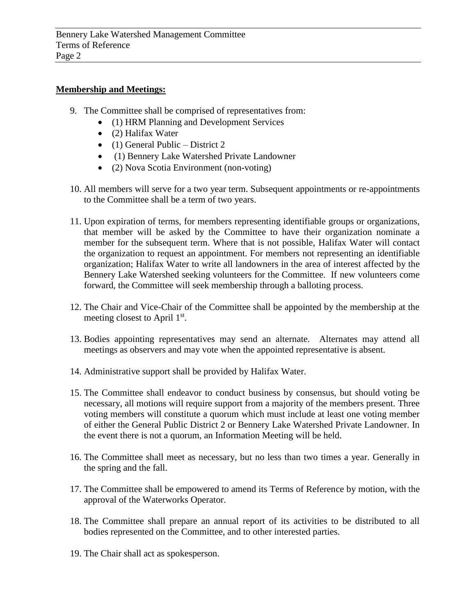#### **Membership and Meetings:**

- 9. The Committee shall be comprised of representatives from:
	- (1) HRM Planning and Development Services
	- (2) Halifax Water
	- $\bullet$  (1) General Public District 2
	- (1) Bennery Lake Watershed Private Landowner
	- (2) Nova Scotia Environment (non-voting)
- 10. All members will serve for a two year term. Subsequent appointments or re-appointments to the Committee shall be a term of two years.
- 11. Upon expiration of terms, for members representing identifiable groups or organizations, that member will be asked by the Committee to have their organization nominate a member for the subsequent term. Where that is not possible, Halifax Water will contact the organization to request an appointment. For members not representing an identifiable organization; Halifax Water to write all landowners in the area of interest affected by the Bennery Lake Watershed seeking volunteers for the Committee. If new volunteers come forward, the Committee will seek membership through a balloting process.
- 12. The Chair and Vice-Chair of the Committee shall be appointed by the membership at the meeting closest to April  $1<sup>st</sup>$ .
- 13. Bodies appointing representatives may send an alternate. Alternates may attend all meetings as observers and may vote when the appointed representative is absent.
- 14. Administrative support shall be provided by Halifax Water.
- 15. The Committee shall endeavor to conduct business by consensus, but should voting be necessary, all motions will require support from a majority of the members present. Three voting members will constitute a quorum which must include at least one voting member of either the General Public District 2 or Bennery Lake Watershed Private Landowner. In the event there is not a quorum, an Information Meeting will be held.
- 16. The Committee shall meet as necessary, but no less than two times a year. Generally in the spring and the fall.
- 17. The Committee shall be empowered to amend its Terms of Reference by motion, with the approval of the Waterworks Operator.
- 18. The Committee shall prepare an annual report of its activities to be distributed to all bodies represented on the Committee, and to other interested parties.
- 19. The Chair shall act as spokesperson.